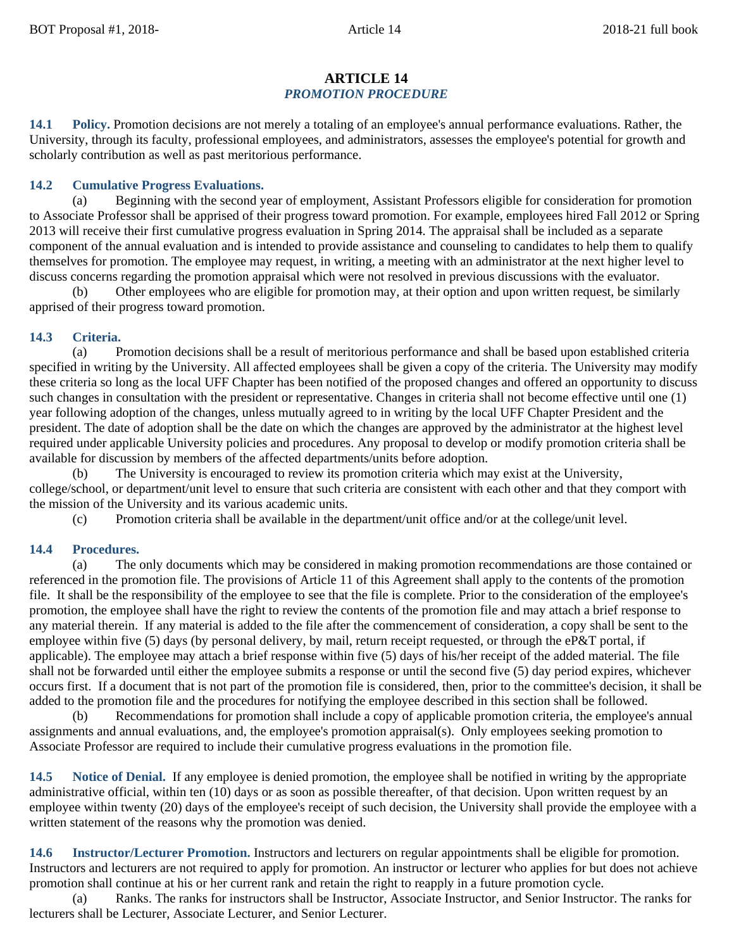## **ARTICLE 14** *PROMOTION PROCEDURE*

**14.1 Policy.** Promotion decisions are not merely a totaling of an employee's annual performance evaluations. Rather, the University, through its faculty, professional employees, and administrators, assesses the employee's potential for growth and scholarly contribution as well as past meritorious performance.

## **14.2 Cumulative Progress Evaluations.**

(a) Beginning with the second year of employment, Assistant Professors eligible for consideration for promotion to Associate Professor shall be apprised of their progress toward promotion. For example, employees hired Fall 2012 or Spring 2013 will receive their first cumulative progress evaluation in Spring 2014. The appraisal shall be included as a separate component of the annual evaluation and is intended to provide assistance and counseling to candidates to help them to qualify themselves for promotion. The employee may request, in writing, a meeting with an administrator at the next higher level to discuss concerns regarding the promotion appraisal which were not resolved in previous discussions with the evaluator.

(b) Other employees who are eligible for promotion may, at their option and upon written request, be similarly apprised of their progress toward promotion.

## **14.3 Criteria.**

(a) Promotion decisions shall be a result of meritorious performance and shall be based upon established criteria specified in writing by the University. All affected employees shall be given a copy of the criteria. The University may modify these criteria so long as the local UFF Chapter has been notified of the proposed changes and offered an opportunity to discuss such changes in consultation with the president or representative. Changes in criteria shall not become effective until one (1) year following adoption of the changes, unless mutually agreed to in writing by the local UFF Chapter President and the president. The date of adoption shall be the date on which the changes are approved by the administrator at the highest level required under applicable University policies and procedures. Any proposal to develop or modify promotion criteria shall be available for discussion by members of the affected departments/units before adoption.

(b) The University is encouraged to review its promotion criteria which may exist at the University, college/school, or department/unit level to ensure that such criteria are consistent with each other and that they comport with the mission of the University and its various academic units.

(c) Promotion criteria shall be available in the department/unit office and/or at the college/unit level.

## **14.4 Procedures.**

(a) The only documents which may be considered in making promotion recommendations are those contained or referenced in the promotion file. The provisions of Article 11 of this Agreement shall apply to the contents of the promotion file. It shall be the responsibility of the employee to see that the file is complete. Prior to the consideration of the employee's promotion, the employee shall have the right to review the contents of the promotion file and may attach a brief response to any material therein. If any material is added to the file after the commencement of consideration, a copy shall be sent to the employee within five (5) days (by personal delivery, by mail, return receipt requested, or through the eP&T portal, if applicable). The employee may attach a brief response within five (5) days of his/her receipt of the added material. The file shall not be forwarded until either the employee submits a response or until the second five (5) day period expires, whichever occurs first. If a document that is not part of the promotion file is considered, then, prior to the committee's decision, it shall be added to the promotion file and the procedures for notifying the employee described in this section shall be followed.

(b) Recommendations for promotion shall include a copy of applicable promotion criteria, the employee's annual assignments and annual evaluations, and, the employee's promotion appraisal(s). Only employees seeking promotion to Associate Professor are required to include their cumulative progress evaluations in the promotion file.

**14.5 Notice of Denial.** If any employee is denied promotion, the employee shall be notified in writing by the appropriate administrative official, within ten (10) days or as soon as possible thereafter, of that decision. Upon written request by an employee within twenty (20) days of the employee's receipt of such decision, the University shall provide the employee with a written statement of the reasons why the promotion was denied.

**14.6 Instructor/Lecturer Promotion.** Instructors and lecturers on regular appointments shall be eligible for promotion. Instructors and lecturers are not required to apply for promotion. An instructor or lecturer who applies for but does not achieve promotion shall continue at his or her current rank and retain the right to reapply in a future promotion cycle.

(a) Ranks. The ranks for instructors shall be Instructor, Associate Instructor, and Senior Instructor. The ranks for lecturers shall be Lecturer, Associate Lecturer, and Senior Lecturer.